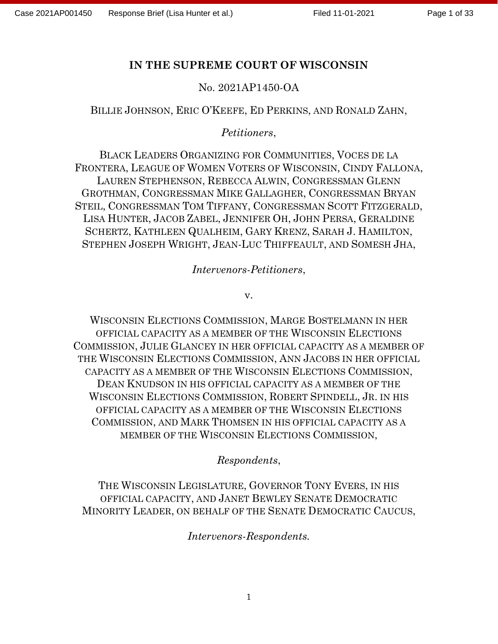# IN THE SUPREME COURT OF WISCONSIN

## No. 2021AP1450-OA

## BILLIE JOHNSON, ERIC O'KEEFE, ED PERKINS, AND RONALD ZAHN,

## Petitioners,

BLACK LEADERS ORGANIZING FOR COMMUNITIES, VOCES DE LA FRONTERA, LEAGUE OF WOMEN VOTERS OF WISCONSIN, CINDY FALLONA, LAUREN STEPHENSON, REBECCA ALWIN, CONGRESSMAN GLENN GROTHMAN, CONGRESSMAN MIKE GALLAGHER, CONGRESSMAN BRYAN STEIL, CONGRESSMAN TOM TIFFANY, CONGRESSMAN SCOTT FITZGERALD, LISA HUNTER, JACOB ZABEL, JENNIFER OH, JOHN PERSA, GERALDINE SCHERTZ, KATHLEEN QUALHEIM, GARY KRENZ, SARAH J. HAMILTON, STEPHEN JOSEPH WRIGHT, JEAN-LUC THIFFEAULT, AND SOMESH JHA,

Intervenors-Petitioners,

v.

WISCONSIN ELECTIONS COMMISSION, MARGE BOSTELMANN IN HER OFFICIAL CAPACITY AS A MEMBER OF THE WISCONSIN ELECTIONS COMMISSION, JULIE GLANCEY IN HER OFFICIAL CAPACITY AS A MEMBER OF THE WISCONSIN ELECTIONS COMMISSION, ANN JACOBS IN HER OFFICIAL CAPACITY AS A MEMBER OF THE WISCONSIN ELECTIONS COMMISSION, DEAN KNUDSON IN HIS OFFICIAL CAPACITY AS A MEMBER OF THE WISCONSIN ELECTIONS COMMISSION, ROBERT SPINDELL, JR. IN HIS OFFICIAL CAPACITY AS A MEMBER OF THE WISCONSIN ELECTIONS COMMISSION, AND MARK THOMSEN IN HIS OFFICIAL CAPACITY AS A MEMBER OF THE WISCONSIN ELECTIONS COMMISSION,

Respondents,

THE WISCONSIN LEGISLATURE, GOVERNOR TONY EVERS, IN HIS OFFICIAL CAPACITY, AND JANET BEWLEY SENATE DEMOCRATIC MINORITY LEADER, ON BEHALF OF THE SENATE DEMOCRATIC CAUCUS,

Intervenors-Respondents.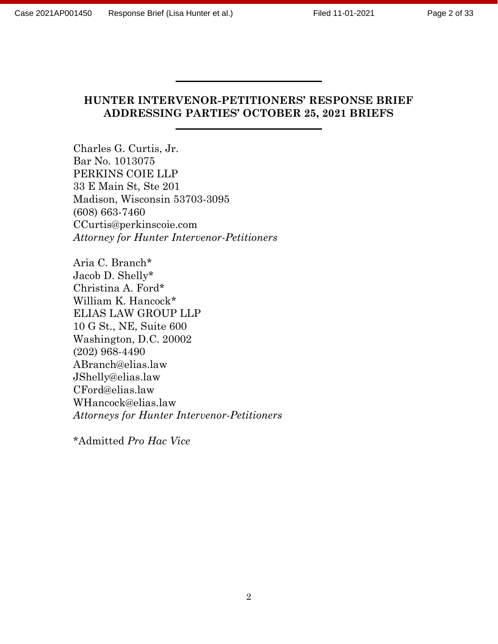#### HUNTER INTERVENOR-PETITIONERS' RESPONSE BRIEF ADDRESSING PARTIES' OCTOBER 25, 2021 BRIEFS

Charles G. Curtis, Jr. Bar No. 1013075 PERKINS COIE LLP 33 E Main St, Ste 201 Madison, Wisconsin 53703-3095 (608) 663-7460 CCurtis@perkinscoie.com Attorney for Hunter Intervenor-Petitioners

Aria C. Branch\* Jacob D. Shelly\* Christina A. Ford\* William K. Hancock\* ELIAS LAW GROUP LLP 10 G St., NE, Suite 600 Washington, D.C. 20002 (202) 968-4490 ABranch@elias.law JShelly@elias.law CFord@elias.law WHancock@elias.law Attorneys for Hunter Intervenor-Petitioners

\*Admitted Pro Hac Vice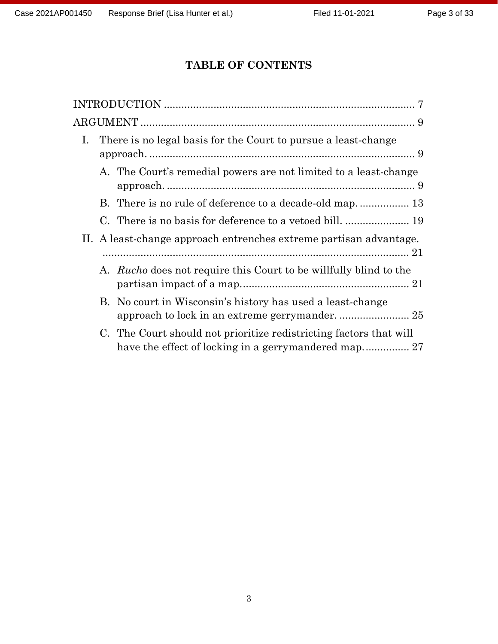# TABLE OF CONTENTS

| Ι. |                                                                    | There is no legal basis for the Court to pursue a least-change           |  |
|----|--------------------------------------------------------------------|--------------------------------------------------------------------------|--|
|    |                                                                    | A. The Court's remedial powers are not limited to a least-change         |  |
|    |                                                                    |                                                                          |  |
|    |                                                                    |                                                                          |  |
|    | II. A least-change approach entrenches extreme partisan advantage. |                                                                          |  |
|    |                                                                    | A. <i>Rucho</i> does not require this Court to be willfully blind to the |  |
|    |                                                                    | B. No court in Wisconsin's history has used a least-change               |  |
|    |                                                                    | C. The Court should not prioritize redistricting factors that will       |  |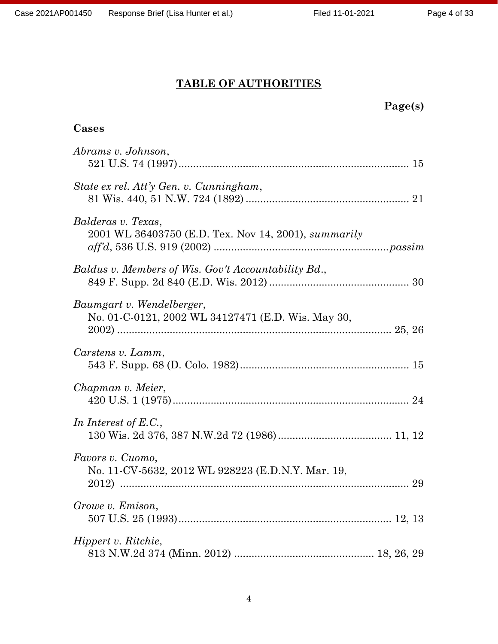Cases

# TABLE OF AUTHORITIES

# Page(s)

| Abrams v. Johnson,                                                              |
|---------------------------------------------------------------------------------|
| State ex rel. Att'y Gen. v. Cunningham,                                         |
| Balderas v. Texas,<br>2001 WL 36403750 (E.D. Tex. Nov 14, 2001), summarily      |
| Baldus v. Members of Wis. Gov't Accountability Bd.,                             |
| Baumgart v. Wendelberger,<br>No. 01-C-0121, 2002 WL 34127471 (E.D. Wis. May 30, |
| Carstens v. Lamm,                                                               |
| Chapman v. Meier,                                                               |
| In Interest of $E.C.,$                                                          |
| Favors v. Cuomo,<br>No. 11-CV-5632, 2012 WL 928223 (E.D.N.Y. Mar. 19,           |
| Growe v. Emison,                                                                |
| Hippert v. Ritchie,                                                             |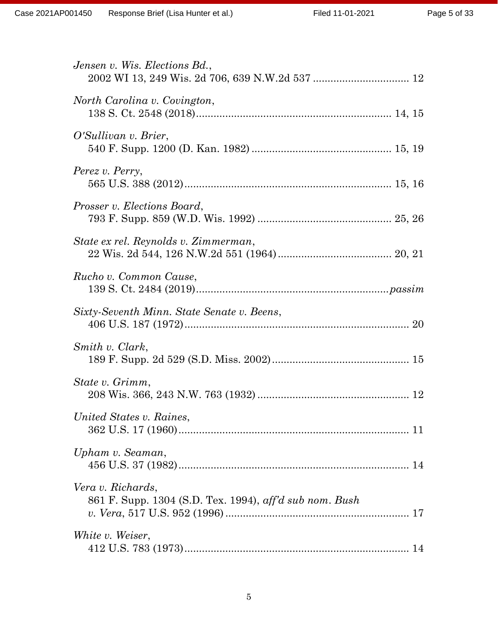| Jensen v. Wis. Elections Bd.,                                                |
|------------------------------------------------------------------------------|
| North Carolina v. Covington,                                                 |
| O'Sullivan v. Brier,                                                         |
| Perez v. Perry,                                                              |
| <i>Prosser v. Elections Board,</i>                                           |
| State ex rel. Reynolds v. Zimmerman,                                         |
| Rucho v. Common Cause,                                                       |
| Sixty-Seventh Minn. State Senate v. Beens,                                   |
| Smith v. Clark,                                                              |
| State v. Grimm,                                                              |
| United States v. Raines,                                                     |
| Upham v. Seaman,                                                             |
| Vera v. Richards,<br>861 F. Supp. 1304 (S.D. Tex. 1994), aff'd sub nom. Bush |
| White v. Weiser,                                                             |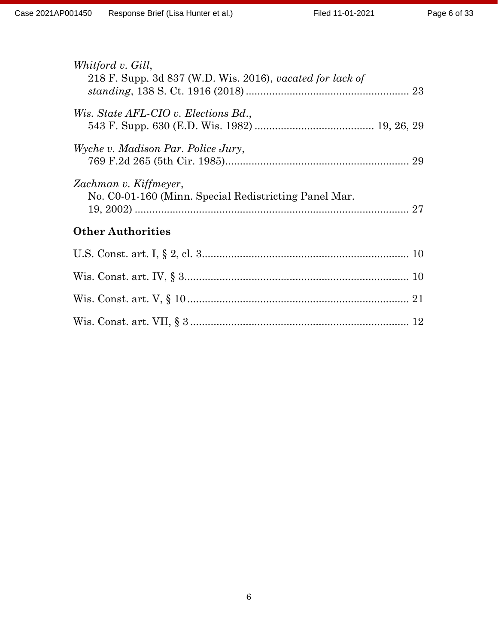| Whitford v. Gill,<br>218 F. Supp. 3d 837 (W.D. Wis. 2016), vacated for lack of       |  |  |
|--------------------------------------------------------------------------------------|--|--|
| Wis. State AFL-CIO v. Elections Bd.,                                                 |  |  |
| Wyche v. Madison Par. Police Jury,                                                   |  |  |
| Zachman v. Kiffmeyer,<br>No. C0-01-160 (Minn. Special Redistricting Panel Mar.<br>27 |  |  |
| <b>Other Authorities</b>                                                             |  |  |
|                                                                                      |  |  |
|                                                                                      |  |  |
|                                                                                      |  |  |
|                                                                                      |  |  |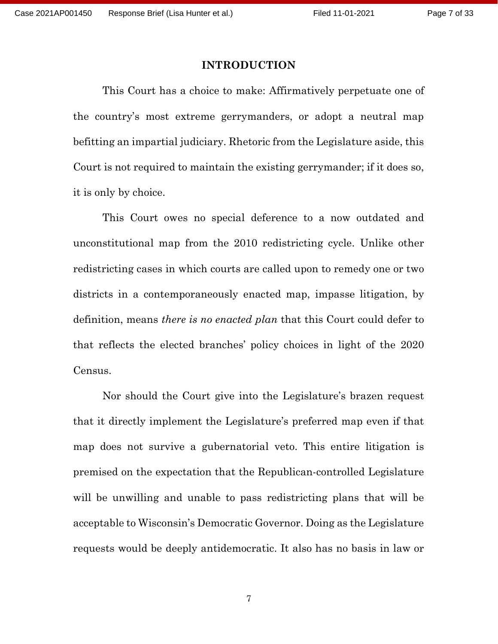#### INTRODUCTION

This Court has a choice to make: Affirmatively perpetuate one of the country's most extreme gerrymanders, or adopt a neutral map befitting an impartial judiciary. Rhetoric from the Legislature aside, this Court is not required to maintain the existing gerrymander; if it does so, it is only by choice.

This Court owes no special deference to a now outdated and unconstitutional map from the 2010 redistricting cycle. Unlike other redistricting cases in which courts are called upon to remedy one or two districts in a contemporaneously enacted map, impasse litigation, by definition, means there is no enacted plan that this Court could defer to that reflects the elected branches' policy choices in light of the 2020 Census.

Nor should the Court give into the Legislature's brazen request that it directly implement the Legislature's preferred map even if that map does not survive a gubernatorial veto. This entire litigation is premised on the expectation that the Republican-controlled Legislature will be unwilling and unable to pass redistricting plans that will be acceptable to Wisconsin's Democratic Governor. Doing as the Legislature requests would be deeply antidemocratic. It also has no basis in law or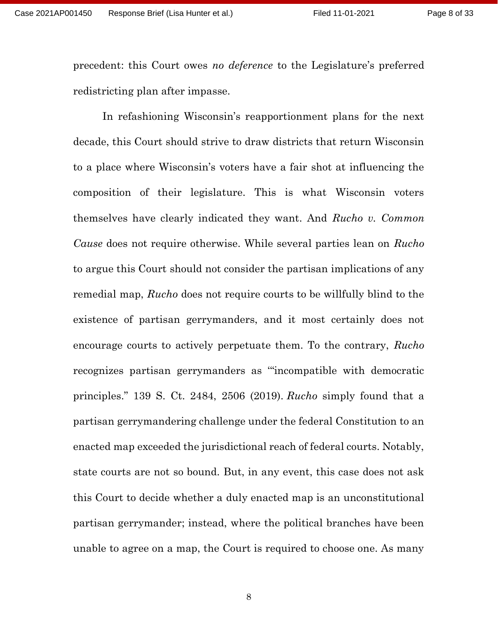precedent: this Court owes no deference to the Legislature's preferred redistricting plan after impasse.

 In refashioning Wisconsin's reapportionment plans for the next decade, this Court should strive to draw districts that return Wisconsin to a place where Wisconsin's voters have a fair shot at influencing the composition of their legislature. This is what Wisconsin voters themselves have clearly indicated they want. And Rucho v. Common Cause does not require otherwise. While several parties lean on Rucho to argue this Court should not consider the partisan implications of any remedial map, Rucho does not require courts to be willfully blind to the existence of partisan gerrymanders, and it most certainly does not encourage courts to actively perpetuate them. To the contrary, Rucho recognizes partisan gerrymanders as '"incompatible with democratic principles." 139 S. Ct. 2484, 2506 (2019). Rucho simply found that a partisan gerrymandering challenge under the federal Constitution to an enacted map exceeded the jurisdictional reach of federal courts. Notably, state courts are not so bound. But, in any event, this case does not ask this Court to decide whether a duly enacted map is an unconstitutional partisan gerrymander; instead, where the political branches have been unable to agree on a map, the Court is required to choose one. As many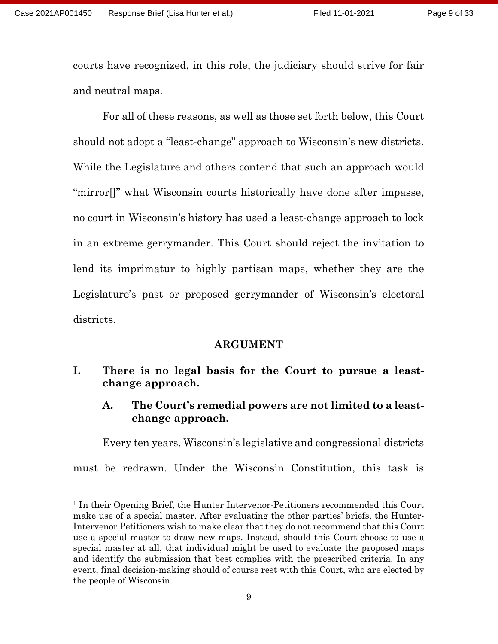courts have recognized, in this role, the judiciary should strive for fair and neutral maps.

 For all of these reasons, as well as those set forth below, this Court should not adopt a "least-change" approach to Wisconsin's new districts. While the Legislature and others contend that such an approach would "mirror[]" what Wisconsin courts historically have done after impasse, no court in Wisconsin's history has used a least-change approach to lock in an extreme gerrymander. This Court should reject the invitation to lend its imprimatur to highly partisan maps, whether they are the Legislature's past or proposed gerrymander of Wisconsin's electoral districts.<sup>1</sup>

#### ARGUMENT

## I. There is no legal basis for the Court to pursue a leastchange approach.

A. The Court's remedial powers are not limited to a leastchange approach.

Every ten years, Wisconsin's legislative and congressional districts must be redrawn. Under the Wisconsin Constitution, this task is

<sup>&</sup>lt;sup>1</sup> In their Opening Brief, the Hunter Intervenor-Petitioners recommended this Court make use of a special master. After evaluating the other parties' briefs, the Hunter-Intervenor Petitioners wish to make clear that they do not recommend that this Court use a special master to draw new maps. Instead, should this Court choose to use a special master at all, that individual might be used to evaluate the proposed maps and identify the submission that best complies with the prescribed criteria. In any event, final decision-making should of course rest with this Court, who are elected by the people of Wisconsin.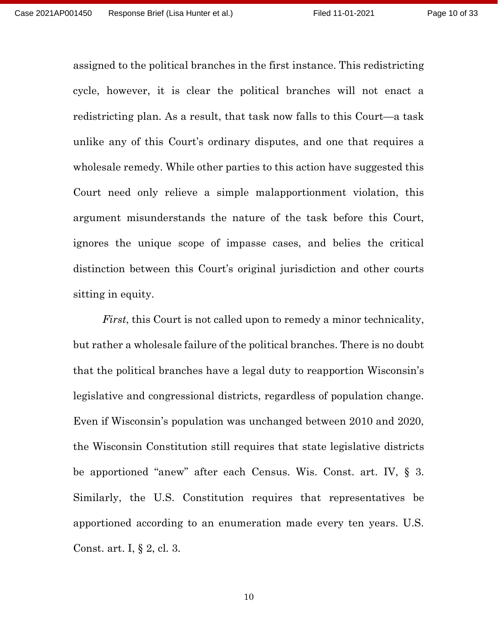assigned to the political branches in the first instance. This redistricting cycle, however, it is clear the political branches will not enact a redistricting plan. As a result, that task now falls to this Court—a task unlike any of this Court's ordinary disputes, and one that requires a wholesale remedy. While other parties to this action have suggested this Court need only relieve a simple malapportionment violation, this argument misunderstands the nature of the task before this Court, ignores the unique scope of impasse cases, and belies the critical distinction between this Court's original jurisdiction and other courts sitting in equity.

First, this Court is not called upon to remedy a minor technicality, but rather a wholesale failure of the political branches. There is no doubt that the political branches have a legal duty to reapportion Wisconsin's legislative and congressional districts, regardless of population change. Even if Wisconsin's population was unchanged between 2010 and 2020, the Wisconsin Constitution still requires that state legislative districts be apportioned "anew" after each Census. Wis. Const. art. IV, § 3. Similarly, the U.S. Constitution requires that representatives be apportioned according to an enumeration made every ten years. U.S. Const. art. I, § 2, cl. 3.

10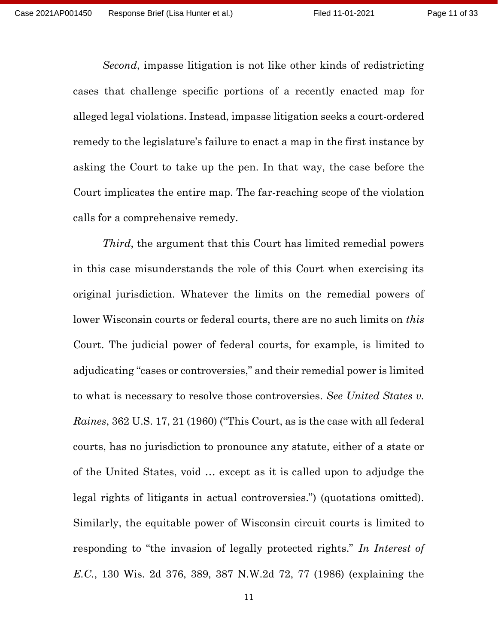Second, impasse litigation is not like other kinds of redistricting cases that challenge specific portions of a recently enacted map for alleged legal violations. Instead, impasse litigation seeks a court-ordered remedy to the legislature's failure to enact a map in the first instance by asking the Court to take up the pen. In that way, the case before the Court implicates the entire map. The far-reaching scope of the violation calls for a comprehensive remedy.

Third, the argument that this Court has limited remedial powers in this case misunderstands the role of this Court when exercising its original jurisdiction. Whatever the limits on the remedial powers of lower Wisconsin courts or federal courts, there are no such limits on *this* Court. The judicial power of federal courts, for example, is limited to adjudicating "cases or controversies," and their remedial power is limited to what is necessary to resolve those controversies. See United States v. Raines, 362 U.S. 17, 21 (1960) ("This Court, as is the case with all federal courts, has no jurisdiction to pronounce any statute, either of a state or of the United States, void … except as it is called upon to adjudge the legal rights of litigants in actual controversies.") (quotations omitted). Similarly, the equitable power of Wisconsin circuit courts is limited to responding to "the invasion of legally protected rights." In Interest of E.C., 130 Wis. 2d 376, 389, 387 N.W.2d 72, 77 (1986) (explaining the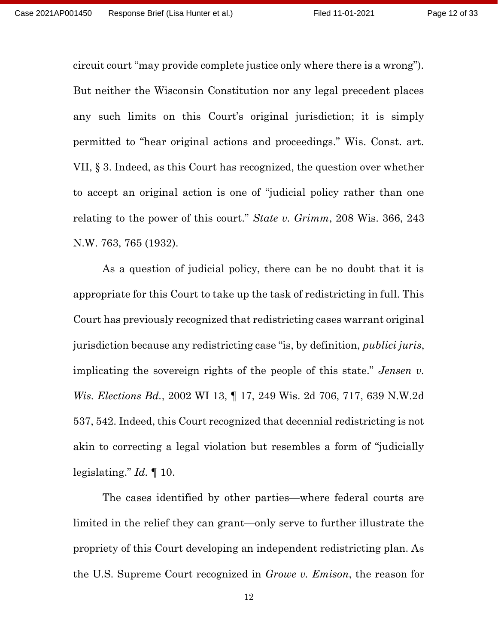circuit court "may provide complete justice only where there is a wrong"). But neither the Wisconsin Constitution nor any legal precedent places any such limits on this Court's original jurisdiction; it is simply permitted to "hear original actions and proceedings." Wis. Const. art. VII, § 3. Indeed, as this Court has recognized, the question over whether to accept an original action is one of "judicial policy rather than one relating to the power of this court." State v. Grimm, 208 Wis. 366, 243 N.W. 763, 765 (1932).

As a question of judicial policy, there can be no doubt that it is appropriate for this Court to take up the task of redistricting in full. This Court has previously recognized that redistricting cases warrant original jurisdiction because any redistricting case "is, by definition, publici juris, implicating the sovereign rights of the people of this state." Jensen v. Wis. Elections Bd., 2002 WI 13, ¶ 17, 249 Wis. 2d 706, 717, 639 N.W.2d 537, 542. Indeed, this Court recognized that decennial redistricting is not akin to correcting a legal violation but resembles a form of "judicially legislating."  $Id. \P 10$ .

The cases identified by other parties—where federal courts are limited in the relief they can grant—only serve to further illustrate the propriety of this Court developing an independent redistricting plan. As the U.S. Supreme Court recognized in Growe v. Emison, the reason for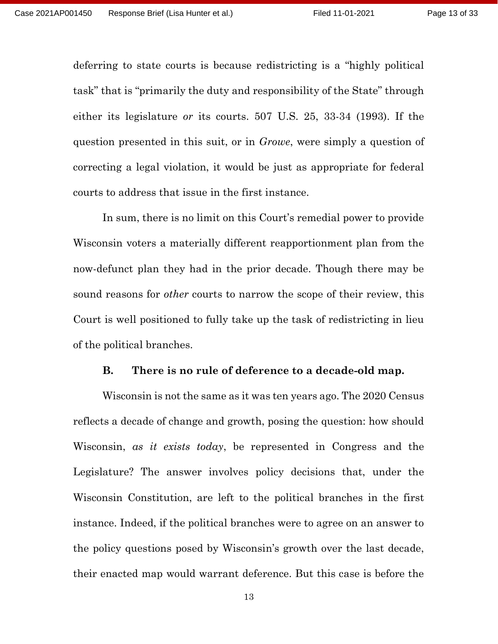deferring to state courts is because redistricting is a "highly political task" that is "primarily the duty and responsibility of the State" through either its legislature or its courts. 507 U.S. 25, 33-34 (1993). If the question presented in this suit, or in Growe, were simply a question of correcting a legal violation, it would be just as appropriate for federal courts to address that issue in the first instance.

In sum, there is no limit on this Court's remedial power to provide Wisconsin voters a materially different reapportionment plan from the now-defunct plan they had in the prior decade. Though there may be sound reasons for *other* courts to narrow the scope of their review, this Court is well positioned to fully take up the task of redistricting in lieu of the political branches.

#### B. There is no rule of deference to a decade-old map.

Wisconsin is not the same as it was ten years ago. The 2020 Census reflects a decade of change and growth, posing the question: how should Wisconsin, as it exists today, be represented in Congress and the Legislature? The answer involves policy decisions that, under the Wisconsin Constitution, are left to the political branches in the first instance. Indeed, if the political branches were to agree on an answer to the policy questions posed by Wisconsin's growth over the last decade, their enacted map would warrant deference. But this case is before the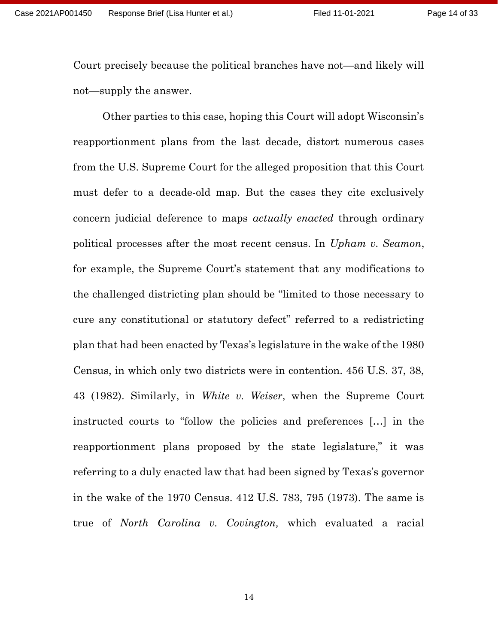Court precisely because the political branches have not—and likely will not—supply the answer.

Other parties to this case, hoping this Court will adopt Wisconsin's reapportionment plans from the last decade, distort numerous cases from the U.S. Supreme Court for the alleged proposition that this Court must defer to a decade-old map. But the cases they cite exclusively concern judicial deference to maps *actually enacted* through ordinary political processes after the most recent census. In Upham v. Seamon, for example, the Supreme Court's statement that any modifications to the challenged districting plan should be "limited to those necessary to cure any constitutional or statutory defect" referred to a redistricting plan that had been enacted by Texas's legislature in the wake of the 1980 Census, in which only two districts were in contention. 456 U.S. 37, 38, 43 (1982). Similarly, in White v. Weiser, when the Supreme Court instructed courts to "follow the policies and preferences […] in the reapportionment plans proposed by the state legislature," it was referring to a duly enacted law that had been signed by Texas's governor in the wake of the 1970 Census. 412 U.S. 783, 795 (1973). The same is true of North Carolina v. Covington, which evaluated a racial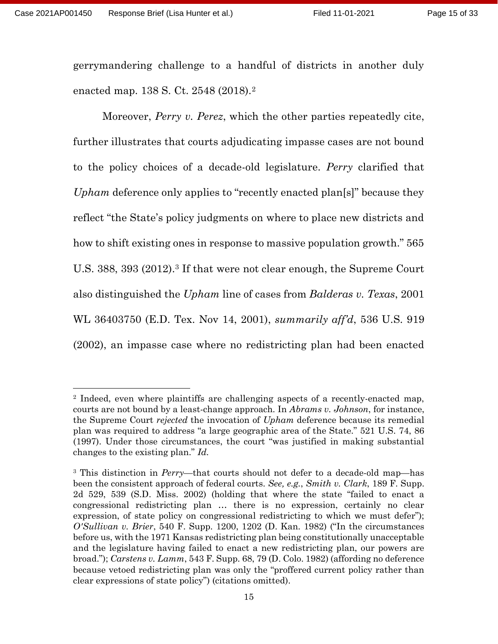gerrymandering challenge to a handful of districts in another duly enacted map. 138 S. Ct. 2548 (2018).<sup>2</sup>

Moreover, *Perry v. Perez*, which the other parties repeatedly cite, further illustrates that courts adjudicating impasse cases are not bound to the policy choices of a decade-old legislature. Perry clarified that Upham deference only applies to "recently enacted plan[s]" because they reflect "the State's policy judgments on where to place new districts and how to shift existing ones in response to massive population growth." 565 U.S. 388, 393 (2012).<sup>3</sup> If that were not clear enough, the Supreme Court also distinguished the Upham line of cases from Balderas v. Texas, 2001 WL 36403750 (E.D. Tex. Nov 14, 2001), summarily aff'd, 536 U.S. 919 (2002), an impasse case where no redistricting plan had been enacted

<sup>2</sup> Indeed, even where plaintiffs are challenging aspects of a recently-enacted map, courts are not bound by a least-change approach. In *Abrams v. Johnson*, for instance, the Supreme Court *rejected* the invocation of Upham deference because its remedial plan was required to address "a large geographic area of the State." 521 U.S. 74, 86 (1997). Under those circumstances, the court "was justified in making substantial changes to the existing plan." Id.

<sup>&</sup>lt;sup>3</sup> This distinction in *Perry*—that courts should not defer to a decade-old map—has been the consistent approach of federal courts. See, e.g., Smith v. Clark, 189 F. Supp. 2d 529, 539 (S.D. Miss. 2002) (holding that where the state "failed to enact a congressional redistricting plan … there is no expression, certainly no clear expression, of state policy on congressional redistricting to which we must defer"); O'Sullivan v. Brier, 540 F. Supp. 1200, 1202 (D. Kan. 1982) ("In the circumstances before us, with the 1971 Kansas redistricting plan being constitutionally unacceptable and the legislature having failed to enact a new redistricting plan, our powers are broad."); Carstens v. Lamm, 543 F. Supp. 68, 79 (D. Colo. 1982) (affording no deference because vetoed redistricting plan was only the "proffered current policy rather than clear expressions of state policy") (citations omitted).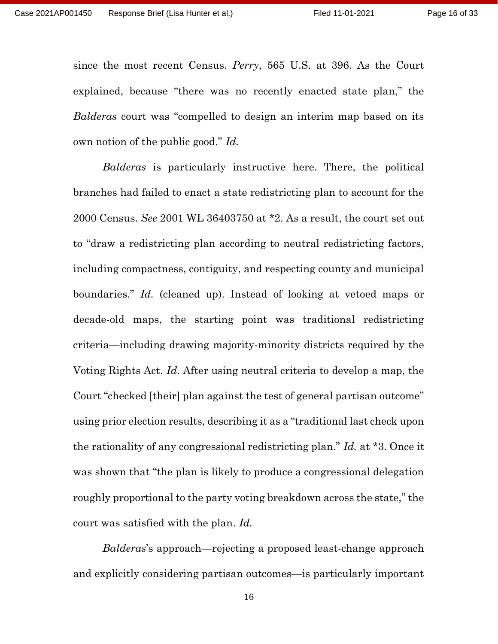since the most recent Census. Perry, 565 U.S. at 396. As the Court explained, because "there was no recently enacted state plan," the Balderas court was "compelled to design an interim map based on its own notion of the public good." Id.

Balderas is particularly instructive here. There, the political branches had failed to enact a state redistricting plan to account for the 2000 Census. See 2001 WL 36403750 at \*2. As a result, the court set out to "draw a redistricting plan according to neutral redistricting factors, including compactness, contiguity, and respecting county and municipal boundaries." Id. (cleaned up). Instead of looking at vetoed maps or decade-old maps, the starting point was traditional redistricting criteria—including drawing majority-minority districts required by the Voting Rights Act. Id. After using neutral criteria to develop a map, the Court "checked [their] plan against the test of general partisan outcome" using prior election results, describing it as a "traditional last check upon the rationality of any congressional redistricting plan." Id. at \*3. Once it was shown that "the plan is likely to produce a congressional delegation roughly proportional to the party voting breakdown across the state," the court was satisfied with the plan. Id.

Balderas's approach—rejecting a proposed least-change approach and explicitly considering partisan outcomes—is particularly important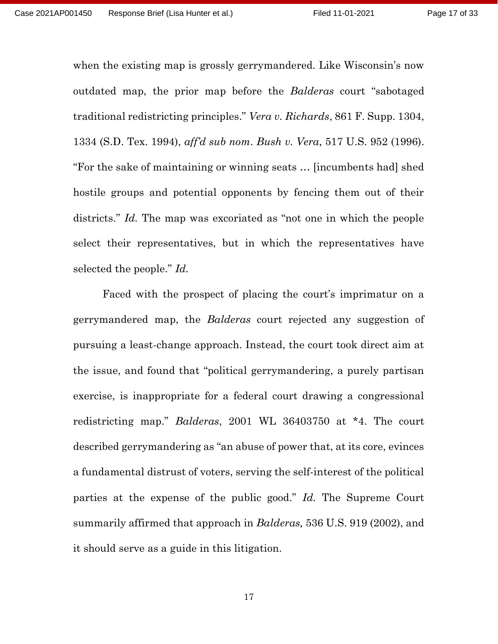when the existing map is grossly gerrymandered. Like Wisconsin's now outdated map, the prior map before the Balderas court "sabotaged" traditional redistricting principles." Vera v. Richards, 861 F. Supp. 1304, 1334 (S.D. Tex. 1994), aff'd sub nom. Bush v. Vera, 517 U.S. 952 (1996). "For the sake of maintaining or winning seats … [incumbents had] shed hostile groups and potential opponents by fencing them out of their districts." Id. The map was excoriated as "not one in which the people select their representatives, but in which the representatives have selected the people." Id.

Faced with the prospect of placing the court's imprimatur on a gerrymandered map, the *Balderas* court rejected any suggestion of pursuing a least-change approach. Instead, the court took direct aim at the issue, and found that "political gerrymandering, a purely partisan exercise, is inappropriate for a federal court drawing a congressional redistricting map." Balderas, 2001 WL 36403750 at \*4. The court described gerrymandering as "an abuse of power that, at its core, evinces a fundamental distrust of voters, serving the self-interest of the political parties at the expense of the public good." Id. The Supreme Court summarily affirmed that approach in *Balderas*, 536 U.S. 919 (2002), and it should serve as a guide in this litigation.

17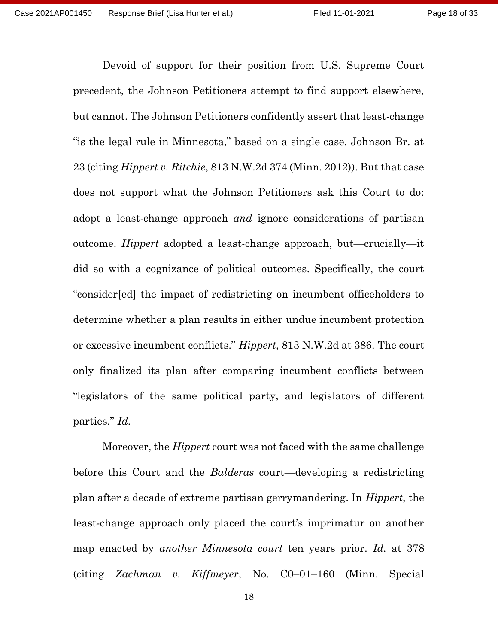Devoid of support for their position from U.S. Supreme Court precedent, the Johnson Petitioners attempt to find support elsewhere, but cannot. The Johnson Petitioners confidently assert that least-change "is the legal rule in Minnesota," based on a single case. Johnson Br. at 23 (citing Hippert v. Ritchie, 813 N.W.2d 374 (Minn. 2012)). But that case does not support what the Johnson Petitioners ask this Court to do: adopt a least-change approach *and* ignore considerations of partisan outcome. Hippert adopted a least-change approach, but—crucially—it did so with a cognizance of political outcomes. Specifically, the court "consider[ed] the impact of redistricting on incumbent officeholders to determine whether a plan results in either undue incumbent protection or excessive incumbent conflicts." Hippert, 813 N.W.2d at 386. The court only finalized its plan after comparing incumbent conflicts between "legislators of the same political party, and legislators of different parties." Id.

Moreover, the Hippert court was not faced with the same challenge before this Court and the *Balderas* court—developing a redistricting plan after a decade of extreme partisan gerrymandering. In Hippert, the least-change approach only placed the court's imprimatur on another map enacted by *another Minnesota court* ten years prior. Id. at 378 (citing Zachman v. Kiffmeyer, No. C0–01–160 (Minn. Special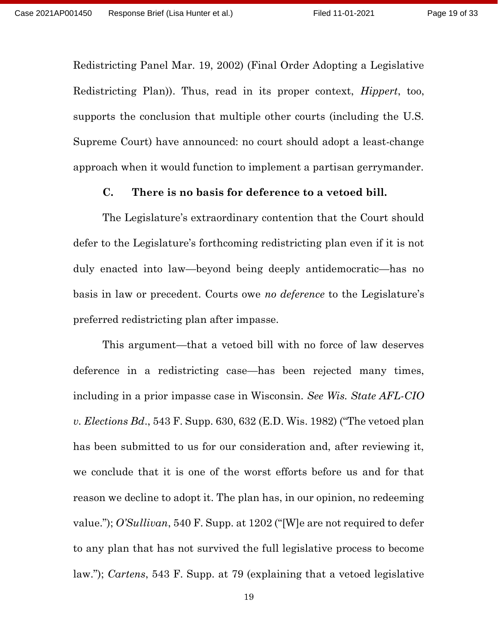Redistricting Panel Mar. 19, 2002) (Final Order Adopting a Legislative Redistricting Plan)). Thus, read in its proper context, *Hippert*, too, supports the conclusion that multiple other courts (including the U.S. Supreme Court) have announced: no court should adopt a least-change approach when it would function to implement a partisan gerrymander.

#### C. There is no basis for deference to a vetoed bill.

The Legislature's extraordinary contention that the Court should defer to the Legislature's forthcoming redistricting plan even if it is not duly enacted into law—beyond being deeply antidemocratic—has no basis in law or precedent. Courts owe no *deference* to the Legislature's preferred redistricting plan after impasse.

This argument—that a vetoed bill with no force of law deserves deference in a redistricting case—has been rejected many times, including in a prior impasse case in Wisconsin. See Wis. State AFL-CIO v. Elections Bd., 543 F. Supp. 630, 632 (E.D. Wis. 1982) ("The vetoed plan has been submitted to us for our consideration and, after reviewing it, we conclude that it is one of the worst efforts before us and for that reason we decline to adopt it. The plan has, in our opinion, no redeeming value.");  $O'Sullivan$ , 540 F. Supp. at 1202 ("[W]e are not required to defer to any plan that has not survived the full legislative process to become law."); Cartens, 543 F. Supp. at 79 (explaining that a vetoed legislative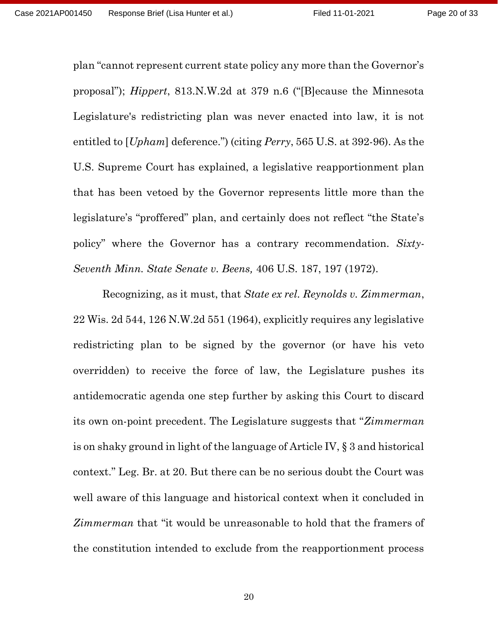plan "cannot represent current state policy any more than the Governor's proposal"); Hippert, 813.N.W.2d at 379 n.6 ("[B]ecause the Minnesota Legislature's redistricting plan was never enacted into law, it is not entitled to [*Upham*] deference.") (citing *Perry*, 565 U.S. at 392-96). As the U.S. Supreme Court has explained, a legislative reapportionment plan that has been vetoed by the Governor represents little more than the legislature's "proffered" plan, and certainly does not reflect "the State's policy" where the Governor has a contrary recommendation. Sixty-Seventh Minn. State Senate v. Beens, 406 U.S. 187, 197 (1972).

Recognizing, as it must, that State ex rel. Reynolds v. Zimmerman, 22 Wis. 2d 544, 126 N.W.2d 551 (1964), explicitly requires any legislative redistricting plan to be signed by the governor (or have his veto overridden) to receive the force of law, the Legislature pushes its antidemocratic agenda one step further by asking this Court to discard its own on-point precedent. The Legislature suggests that "Zimmerman" is on shaky ground in light of the language of Article IV, § 3 and historical context." Leg. Br. at 20. But there can be no serious doubt the Court was well aware of this language and historical context when it concluded in Zimmerman that "it would be unreasonable to hold that the framers of the constitution intended to exclude from the reapportionment process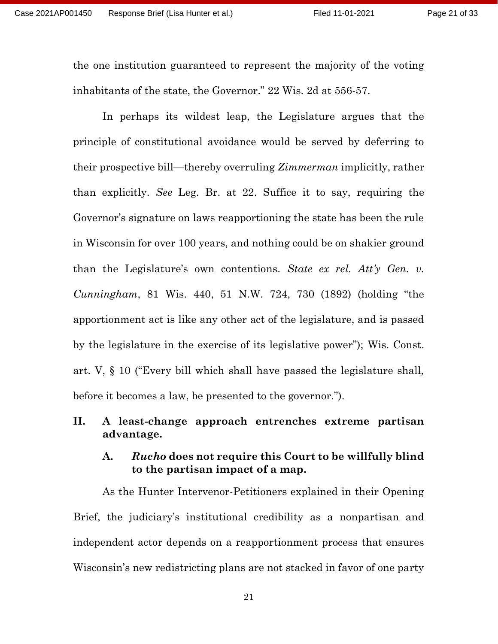the one institution guaranteed to represent the majority of the voting inhabitants of the state, the Governor." 22 Wis. 2d at 556-57.

In perhaps its wildest leap, the Legislature argues that the principle of constitutional avoidance would be served by deferring to their prospective bill—thereby overruling Zimmerman implicitly, rather than explicitly. See Leg. Br. at 22. Suffice it to say, requiring the Governor's signature on laws reapportioning the state has been the rule in Wisconsin for over 100 years, and nothing could be on shakier ground than the Legislature's own contentions. State ex rel. Att'y Gen. v. Cunningham, 81 Wis. 440, 51 N.W. 724, 730 (1892) (holding "the apportionment act is like any other act of the legislature, and is passed by the legislature in the exercise of its legislative power"); Wis. Const. art. V, § 10 ("Every bill which shall have passed the legislature shall, before it becomes a law, be presented to the governor.").

## II. A least-change approach entrenches extreme partisan advantage.

#### A. Rucho does not require this Court to be willfully blind to the partisan impact of a map.

As the Hunter Intervenor-Petitioners explained in their Opening Brief, the judiciary's institutional credibility as a nonpartisan and independent actor depends on a reapportionment process that ensures Wisconsin's new redistricting plans are not stacked in favor of one party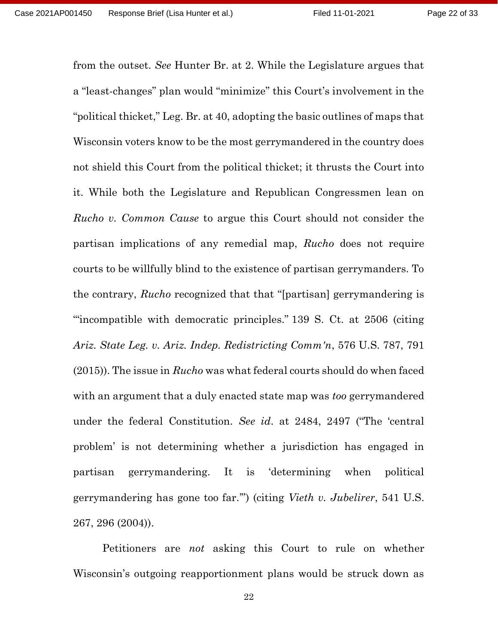from the outset. See Hunter Br. at 2. While the Legislature argues that a "least-changes" plan would "minimize" this Court's involvement in the "political thicket," Leg. Br. at 40, adopting the basic outlines of maps that Wisconsin voters know to be the most gerrymandered in the country does not shield this Court from the political thicket; it thrusts the Court into it. While both the Legislature and Republican Congressmen lean on Rucho v. Common Cause to argue this Court should not consider the partisan implications of any remedial map, Rucho does not require courts to be willfully blind to the existence of partisan gerrymanders. To the contrary, Rucho recognized that that "[partisan] gerrymandering is '"incompatible with democratic principles." 139 S. Ct. at 2506 (citing Ariz. State Leg. v. Ariz. Indep. Redistricting Comm'n, 576 U.S. 787, 791 (2015)). The issue in Rucho was what federal courts should do when faced with an argument that a duly enacted state map was *too* gerrymandered under the federal Constitution. See id. at 2484, 2497 ("The 'central problem' is not determining whether a jurisdiction has engaged in partisan gerrymandering. It is 'determining when political gerrymandering has gone too far.'") (citing Vieth v. Jubelirer, 541 U.S. 267, 296 (2004)).

Petitioners are not asking this Court to rule on whether Wisconsin's outgoing reapportionment plans would be struck down as

22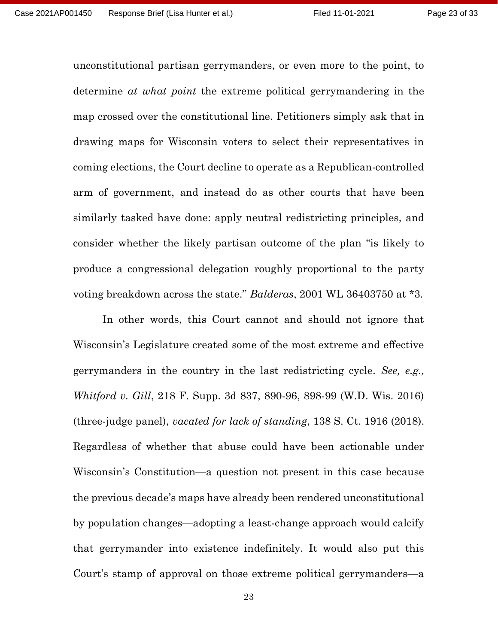unconstitutional partisan gerrymanders, or even more to the point, to determine at what point the extreme political gerrymandering in the map crossed over the constitutional line. Petitioners simply ask that in drawing maps for Wisconsin voters to select their representatives in coming elections, the Court decline to operate as a Republican-controlled arm of government, and instead do as other courts that have been similarly tasked have done: apply neutral redistricting principles, and consider whether the likely partisan outcome of the plan "is likely to produce a congressional delegation roughly proportional to the party voting breakdown across the state." *Balderas*, 2001 WL 36403750 at \*3.

In other words, this Court cannot and should not ignore that Wisconsin's Legislature created some of the most extreme and effective gerrymanders in the country in the last redistricting cycle. See, e.g., Whitford v. Gill, 218 F. Supp. 3d 837, 890-96, 898-99 (W.D. Wis. 2016) (three-judge panel), vacated for lack of standing, 138 S. Ct. 1916 (2018). Regardless of whether that abuse could have been actionable under Wisconsin's Constitution—a question not present in this case because the previous decade's maps have already been rendered unconstitutional by population changes—adopting a least-change approach would calcify that gerrymander into existence indefinitely. It would also put this Court's stamp of approval on those extreme political gerrymanders—a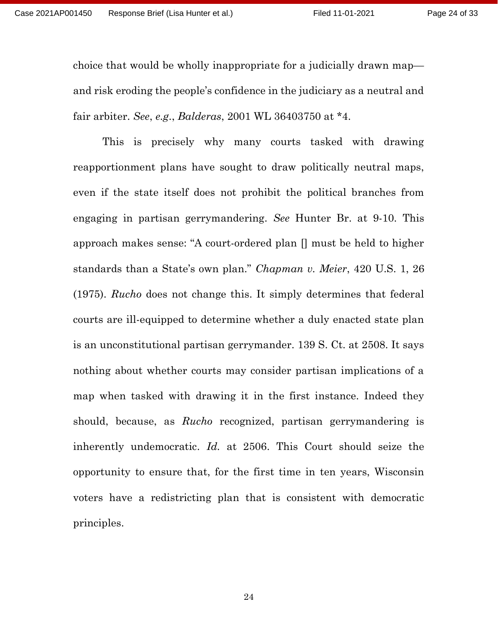choice that would be wholly inappropriate for a judicially drawn map and risk eroding the people's confidence in the judiciary as a neutral and fair arbiter. See, e.g., Balderas, 2001 WL 36403750 at \*4.

This is precisely why many courts tasked with drawing reapportionment plans have sought to draw politically neutral maps, even if the state itself does not prohibit the political branches from engaging in partisan gerrymandering. See Hunter Br. at 9-10. This approach makes sense: "A court-ordered plan [] must be held to higher standards than a State's own plan." Chapman v. Meier, 420 U.S. 1, 26 (1975). Rucho does not change this. It simply determines that federal courts are ill-equipped to determine whether a duly enacted state plan is an unconstitutional partisan gerrymander. 139 S. Ct. at 2508. It says nothing about whether courts may consider partisan implications of a map when tasked with drawing it in the first instance. Indeed they should, because, as *Rucho* recognized, partisan gerrymandering is inherently undemocratic. Id. at 2506. This Court should seize the opportunity to ensure that, for the first time in ten years, Wisconsin voters have a redistricting plan that is consistent with democratic principles.

24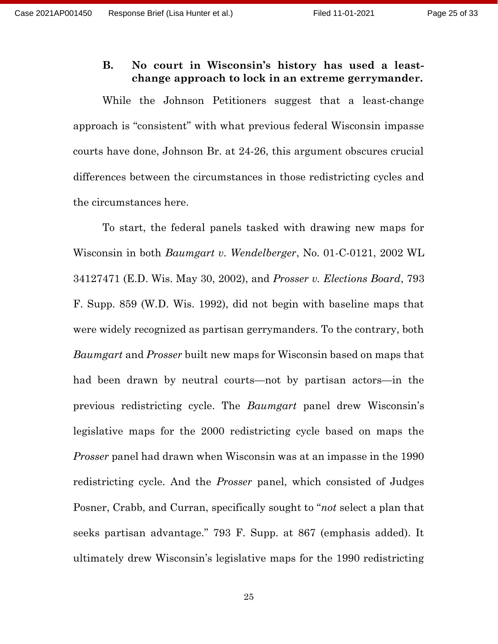#### B. No court in Wisconsin's history has used a leastchange approach to lock in an extreme gerrymander.

While the Johnson Petitioners suggest that a least-change approach is "consistent" with what previous federal Wisconsin impasse courts have done, Johnson Br. at 24-26, this argument obscures crucial differences between the circumstances in those redistricting cycles and the circumstances here.

To start, the federal panels tasked with drawing new maps for Wisconsin in both Baumgart v. Wendelberger, No. 01-C-0121, 2002 WL 34127471 (E.D. Wis. May 30, 2002), and Prosser v. Elections Board, 793 F. Supp. 859 (W.D. Wis. 1992), did not begin with baseline maps that were widely recognized as partisan gerrymanders. To the contrary, both Baumgart and Prosser built new maps for Wisconsin based on maps that had been drawn by neutral courts—not by partisan actors—in the previous redistricting cycle. The Baumgart panel drew Wisconsin's legislative maps for the 2000 redistricting cycle based on maps the Prosser panel had drawn when Wisconsin was at an impasse in the 1990 redistricting cycle. And the Prosser panel, which consisted of Judges Posner, Crabb, and Curran, specifically sought to "not select a plan that seeks partisan advantage." 793 F. Supp. at 867 (emphasis added). It ultimately drew Wisconsin's legislative maps for the 1990 redistricting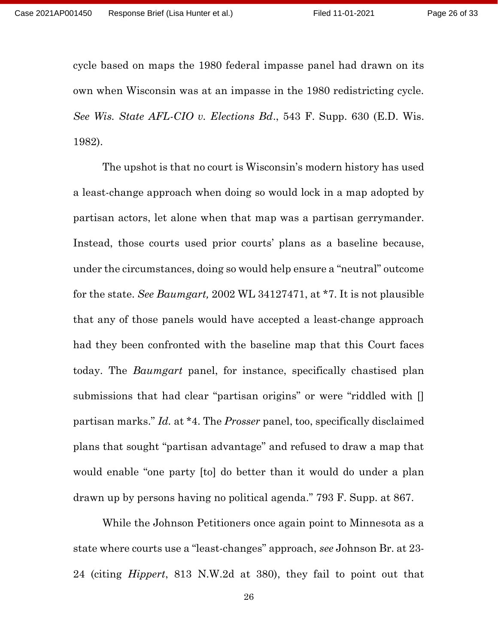cycle based on maps the 1980 federal impasse panel had drawn on its own when Wisconsin was at an impasse in the 1980 redistricting cycle. See Wis. State AFL-CIO v. Elections Bd., 543 F. Supp. 630 (E.D. Wis. 1982).

The upshot is that no court is Wisconsin's modern history has used a least-change approach when doing so would lock in a map adopted by partisan actors, let alone when that map was a partisan gerrymander. Instead, those courts used prior courts' plans as a baseline because, under the circumstances, doing so would help ensure a "neutral" outcome for the state. See Baumgart, 2002 WL 34127471, at \*7. It is not plausible that any of those panels would have accepted a least-change approach had they been confronted with the baseline map that this Court faces today. The Baumgart panel, for instance, specifically chastised plan submissions that had clear "partisan origins" or were "riddled with [] partisan marks." Id. at \*4. The Prosser panel, too, specifically disclaimed plans that sought "partisan advantage" and refused to draw a map that would enable "one party [to] do better than it would do under a plan drawn up by persons having no political agenda." 793 F. Supp. at 867.

While the Johnson Petitioners once again point to Minnesota as a state where courts use a "least-changes" approach, see Johnson Br. at 23- 24 (citing Hippert, 813 N.W.2d at 380), they fail to point out that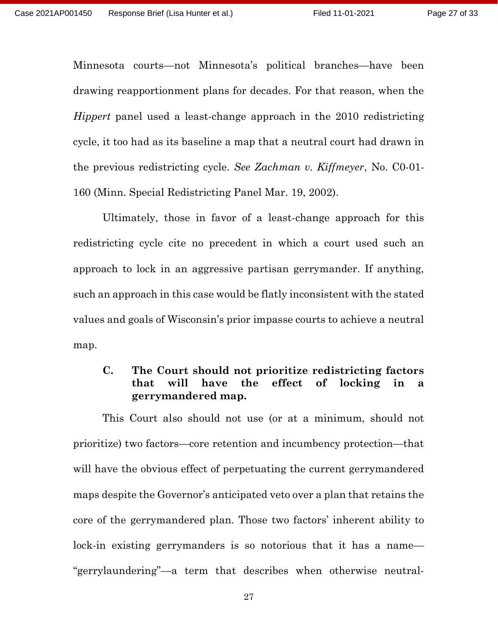Minnesota courts—not Minnesota's political branches—have been drawing reapportionment plans for decades. For that reason, when the Hippert panel used a least-change approach in the 2010 redistricting cycle, it too had as its baseline a map that a neutral court had drawn in the previous redistricting cycle. See Zachman v. Kiffmeyer, No. C0-01- 160 (Minn. Special Redistricting Panel Mar. 19, 2002).

Ultimately, those in favor of a least-change approach for this redistricting cycle cite no precedent in which a court used such an approach to lock in an aggressive partisan gerrymander. If anything, such an approach in this case would be flatly inconsistent with the stated values and goals of Wisconsin's prior impasse courts to achieve a neutral map.

#### C. The Court should not prioritize redistricting factors that will have the effect of locking in a gerrymandered map.

This Court also should not use (or at a minimum, should not prioritize) two factors—core retention and incumbency protection—that will have the obvious effect of perpetuating the current gerrymandered maps despite the Governor's anticipated veto over a plan that retains the core of the gerrymandered plan. Those two factors' inherent ability to lock-in existing gerrymanders is so notorious that it has a name— "gerrylaundering"—a term that describes when otherwise neutral-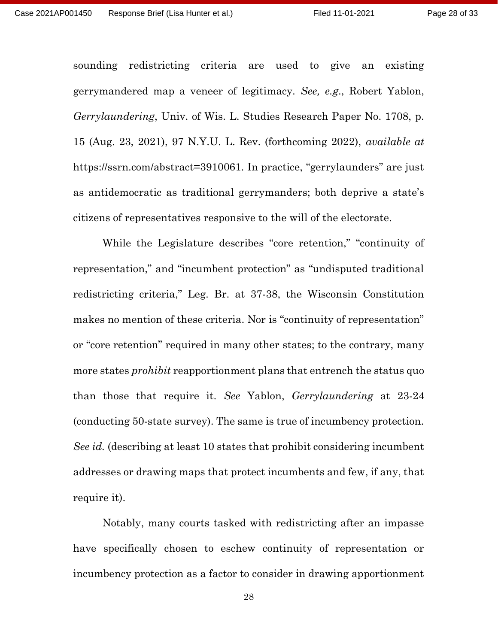sounding redistricting criteria are used to give an existing gerrymandered map a veneer of legitimacy. See, e.g., Robert Yablon, Gerrylaundering, Univ. of Wis. L. Studies Research Paper No. 1708, p. 15 (Aug. 23, 2021), 97 N.Y.U. L. Rev. (forthcoming 2022), available at https://ssrn.com/abstract=3910061. In practice, "gerrylaunders" are just as antidemocratic as traditional gerrymanders; both deprive a state's citizens of representatives responsive to the will of the electorate.

 While the Legislature describes "core retention," "continuity of representation," and "incumbent protection" as "undisputed traditional redistricting criteria," Leg. Br. at 37-38, the Wisconsin Constitution makes no mention of these criteria. Nor is "continuity of representation" or "core retention" required in many other states; to the contrary, many more states *prohibit* reapportionment plans that entrench the status quo than those that require it. See Yablon, Gerrylaundering at 23-24 (conducting 50-state survey). The same is true of incumbency protection. See id. (describing at least 10 states that prohibit considering incumbent addresses or drawing maps that protect incumbents and few, if any, that require it).

Notably, many courts tasked with redistricting after an impasse have specifically chosen to eschew continuity of representation or incumbency protection as a factor to consider in drawing apportionment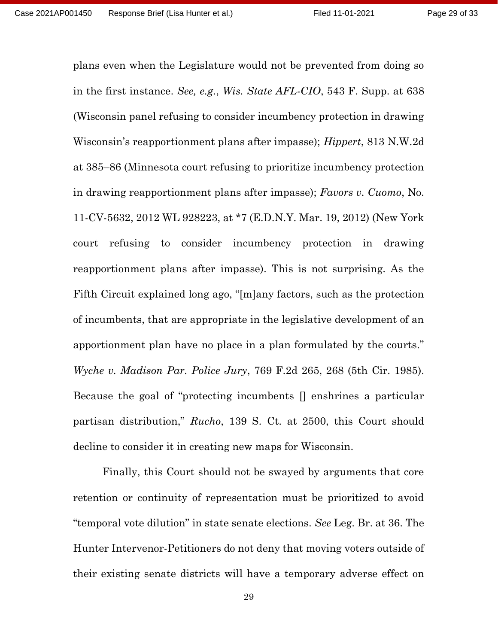plans even when the Legislature would not be prevented from doing so in the first instance. See, e.g., Wis. State AFL-CIO, 543 F. Supp. at 638 (Wisconsin panel refusing to consider incumbency protection in drawing Wisconsin's reapportionment plans after impasse); Hippert, 813 N.W.2d at 385–86 (Minnesota court refusing to prioritize incumbency protection in drawing reapportionment plans after impasse); Favors v. Cuomo, No. 11-CV-5632, 2012 WL 928223, at \*7 (E.D.N.Y. Mar. 19, 2012) (New York court refusing to consider incumbency protection in drawing reapportionment plans after impasse). This is not surprising. As the Fifth Circuit explained long ago, "[m]any factors, such as the protection of incumbents, that are appropriate in the legislative development of an apportionment plan have no place in a plan formulated by the courts." Wyche v. Madison Par. Police Jury, 769 F.2d 265, 268 (5th Cir. 1985). Because the goal of "protecting incumbents [] enshrines a particular partisan distribution," Rucho, 139 S. Ct. at 2500, this Court should decline to consider it in creating new maps for Wisconsin.

Finally, this Court should not be swayed by arguments that core retention or continuity of representation must be prioritized to avoid "temporal vote dilution" in state senate elections. See Leg. Br. at 36. The Hunter Intervenor-Petitioners do not deny that moving voters outside of their existing senate districts will have a temporary adverse effect on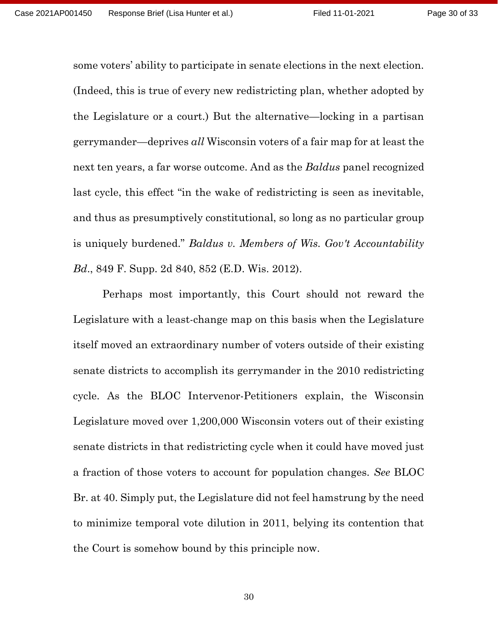some voters' ability to participate in senate elections in the next election. (Indeed, this is true of every new redistricting plan, whether adopted by the Legislature or a court.) But the alternative—locking in a partisan gerrymander—deprives all Wisconsin voters of a fair map for at least the next ten years, a far worse outcome. And as the Baldus panel recognized last cycle, this effect "in the wake of redistricting is seen as inevitable, and thus as presumptively constitutional, so long as no particular group is uniquely burdened." Baldus v. Members of Wis. Gov't Accountability Bd., 849 F. Supp. 2d 840, 852 (E.D. Wis. 2012).

 Perhaps most importantly, this Court should not reward the Legislature with a least-change map on this basis when the Legislature itself moved an extraordinary number of voters outside of their existing senate districts to accomplish its gerrymander in the 2010 redistricting cycle. As the BLOC Intervenor-Petitioners explain, the Wisconsin Legislature moved over 1,200,000 Wisconsin voters out of their existing senate districts in that redistricting cycle when it could have moved just a fraction of those voters to account for population changes. See BLOC Br. at 40. Simply put, the Legislature did not feel hamstrung by the need to minimize temporal vote dilution in 2011, belying its contention that the Court is somehow bound by this principle now.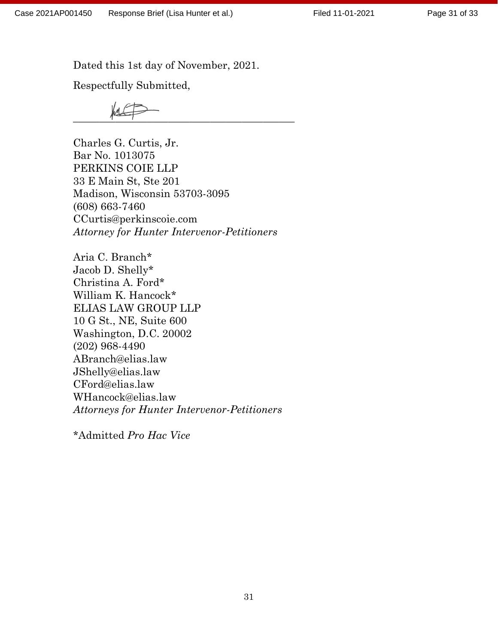Dated this 1st day of November, 2021.

Respectfully Submitted,

 $\frac{1}{\sqrt{2}}$ 

Charles G. Curtis, Jr. Bar No. 1013075 PERKINS COIE LLP 33 E Main St, Ste 201 Madison, Wisconsin 53703-3095 (608) 663-7460 CCurtis@perkinscoie.com Attorney for Hunter Intervenor-Petitioners

Aria C. Branch\* Jacob D. Shelly\* Christina A. Ford\* William K. Hancock\* ELIAS LAW GROUP LLP 10 G St., NE, Suite 600 Washington, D.C. 20002 (202) 968-4490 ABranch@elias.law JShelly@elias.law CFord@elias.law WHancock@elias.law Attorneys for Hunter Intervenor-Petitioners

\*Admitted Pro Hac Vice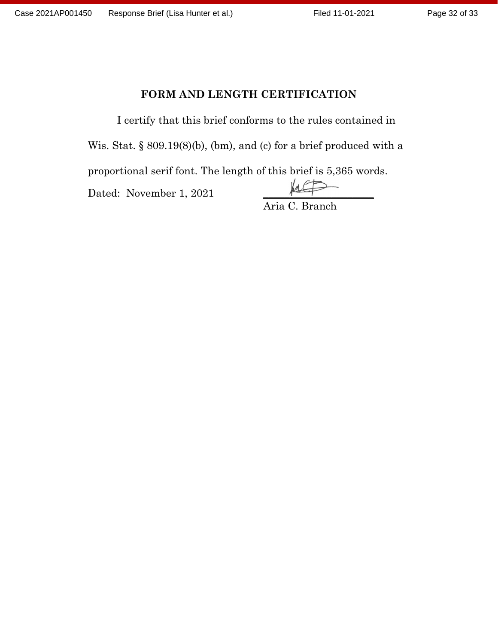## FORM AND LENGTH CERTIFICATION

I certify that this brief conforms to the rules contained in Wis. Stat. § 809.19(8)(b), (bm), and (c) for a brief produced with a proportional serif font. The length of this brief is 5,365 words. Dated: November 1, 2021 *\_\_\_\_\_\_\_\_\_\_\_\_\_\_\_\_\_\_\_\_\_* Aria C. Branch